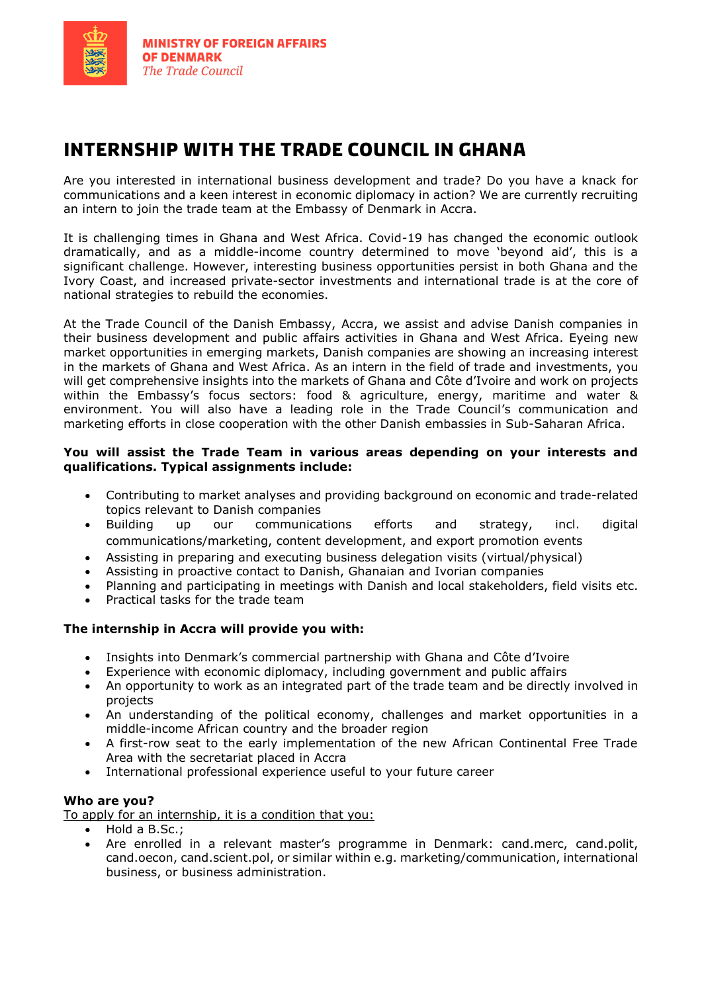

# **internship with the trade council in ghana**

Are you interested in international business development and trade? Do you have a knack for communications and a keen interest in economic diplomacy in action? We are currently recruiting an intern to join the trade team at the Embassy of Denmark in Accra.

It is challenging times in Ghana and West Africa. Covid-19 has changed the economic outlook dramatically, and as a middle-income country determined to move 'beyond aid', this is a significant challenge. However, interesting business opportunities persist in both Ghana and the Ivory Coast, and increased private-sector investments and international trade is at the core of national strategies to rebuild the economies.

At the Trade Council of the Danish Embassy, Accra, we assist and advise Danish companies in their business development and public affairs activities in Ghana and West Africa. Eyeing new market opportunities in emerging markets, Danish companies are showing an increasing interest in the markets of Ghana and West Africa. As an intern in the field of trade and investments, you will get comprehensive insights into the markets of Ghana and Côte d'Ivoire and work on projects within the Embassy's focus sectors: food & agriculture, energy, maritime and water & environment. You will also have a leading role in the Trade Council's communication and marketing efforts in close cooperation with the other Danish embassies in Sub-Saharan Africa.

### **You will assist the Trade Team in various areas depending on your interests and qualifications. Typical assignments include:**

- Contributing to market analyses and providing background on economic and trade-related topics relevant to Danish companies
- Building up our communications efforts and strategy, incl. digital communications/marketing, content development, and export promotion events
- Assisting in preparing and executing business delegation visits (virtual/physical)
- Assisting in proactive contact to Danish, Ghanaian and Ivorian companies
- Planning and participating in meetings with Danish and local stakeholders, field visits etc.
- Practical tasks for the trade team

## **The internship in Accra will provide you with:**

- Insights into Denmark's commercial partnership with Ghana and Côte d'Ivoire
- Experience with economic diplomacy, including government and public affairs
- An opportunity to work as an integrated part of the trade team and be directly involved in projects
- An understanding of the political economy, challenges and market opportunities in a middle-income African country and the broader region
- A first-row seat to the early implementation of the new African Continental Free Trade Area with the secretariat placed in Accra
- International professional experience useful to your future career

#### **Who are you?**

To apply for an internship, it is a condition that you:

- Hold a B.Sc.;
- Are enrolled in a relevant master's programme in Denmark: cand.merc, cand.polit, cand.oecon, cand.scient.pol, or similar within e.g. marketing/communication, international business, or business administration.